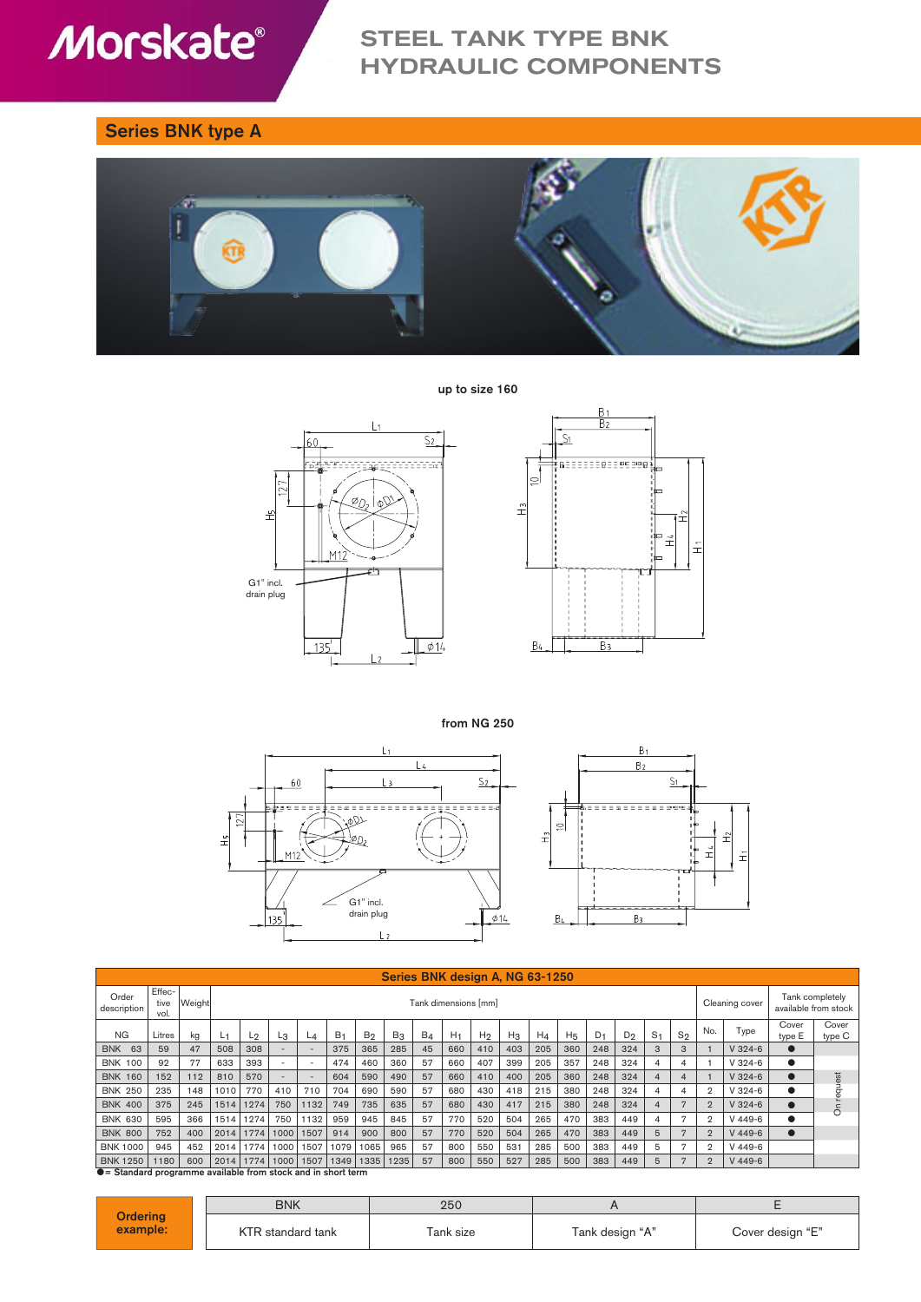# **Morskate®**

# STEEL TANK TYPE BNK HYDRAULIC COMPONENTS

## Series BNK type A





up to size 160





from NG 250



|                      | Series BNK design A. NG 63-1250                                       |        |      |                      |                          |                          |                |                |       |       |                |                |                |       |                                         |                |       |                |       |                |           |                 |                 |
|----------------------|-----------------------------------------------------------------------|--------|------|----------------------|--------------------------|--------------------------|----------------|----------------|-------|-------|----------------|----------------|----------------|-------|-----------------------------------------|----------------|-------|----------------|-------|----------------|-----------|-----------------|-----------------|
| Order<br>description | Effec-<br>tive<br>vol.                                                | Weight |      | Tank dimensions [mm] |                          |                          |                |                |       |       |                |                | Cleaning cover |       | Tank completely<br>available from stock |                |       |                |       |                |           |                 |                 |
| <b>NG</b>            | Litres                                                                | kg     | L1   | L2                   | Lз                       | L4                       | B <sub>1</sub> | B <sub>2</sub> | $B_3$ | $B_4$ | H <sub>1</sub> | H <sub>2</sub> | $H_3$          | $H_4$ | H <sub>5</sub>                          | D <sub>1</sub> | $D_2$ | S <sub>1</sub> | $S_2$ | No.            | Type      | Cover<br>type E | Cover<br>type C |
| <b>BNK 63</b>        | 59                                                                    | 47     | 508  | 308                  | $\overline{\phantom{a}}$ | $\overline{\phantom{a}}$ | 375            | 365            | 285   | 45    | 660            | 410            | 403            | 205   | 360                                     | 248            | 324   | 3              | 3     |                | $V$ 324-6 |                 |                 |
| <b>BNK 100</b>       | 92                                                                    | 77     | 633  | 393                  | $\overline{\phantom{a}}$ | $\overline{\phantom{a}}$ | 474            | 460            | 360   | 57    | 660            | 407            | 399            | 205   | 357                                     | 248            | 324   | 4              | 4     |                | $V324-6$  | $\bullet$       |                 |
| <b>BNK 160</b>       | 152                                                                   | 112    | 810  | 570                  | $\sim$                   | $\overline{\phantom{a}}$ | 604            | 590            | 490   | 57    | 660            | 410            | 400            | 205   | 360                                     | 248            | 324   | 4              | 4     |                | $V$ 324-6 |                 |                 |
| <b>BNK 250</b>       | 235                                                                   | 148    | 1010 | 770                  | 410                      | 710                      | 704            | 690            | 590   | 57    | 680            | 430            | 418            | 215   | 380                                     | 248            | 324   | 4              | 4     | $\mathfrak{D}$ | $V$ 324-6 | $\bullet$       | request         |
| <b>BNK 400</b>       | 375                                                                   | 245    | 1514 | 1274                 | 750                      | 1132                     | 749            | 735            | 635   | 57    | 680            | 430            | 417            | 215   | 380                                     | 248            | 324   | 4              | 7     | $\overline{2}$ | $V$ 324-6 | $\bullet$       | $\delta$        |
| <b>BNK 630</b>       | 595                                                                   | 366    | 1514 | 1274                 | 750                      | 1132                     | 959            | 945            | 845   | 57    | 770            | 520            | 504            | 265   | 470                                     | 383            | 449   | 4              | 7     | $\mathfrak{D}$ | $V$ 449-6 |                 |                 |
| <b>BNK 800</b>       | 752                                                                   | 400    | 2014 | 1774                 | 1000                     | 1507                     | 914            | 900            | 800   | 57    | 770            | 520            | 504            | 265   | 470                                     | 383            | 449   | 5              | 7     | $\overline{2}$ | $V$ 449-6 | $\bullet$       |                 |
| <b>BNK 1000</b>      | 945                                                                   | 452    | 2014 | 1774                 | 1000                     | 1507                     | 1079           | 1065           | 965   | 57    | 800            | 550            | 531            | 285   | 500                                     | 383            | 449   | 5              | 7     | $\mathfrak{D}$ | $V$ 449-6 |                 |                 |
| <b>BNK 1250</b>      | 1180                                                                  | 600    | 2014 | 1774                 | 1000                     | 1507                     | 1349           | 1335           | 1235  | 57    | 800            | 550            | 527            | 285   | 500                                     | 383            | 449   | 5              | 7     | $\overline{2}$ | $V$ 449-6 |                 |                 |
|                      | $\bullet$ = Standard programme available from stock and in short term |        |      |                      |                          |                          |                |                |       |       |                |                |                |       |                                         |                |       |                |       |                |           |                 |                 |

**Ordering** example: BNK | 250 | A | E KTR standard tank Tank size Tank design "A" Cover design "E"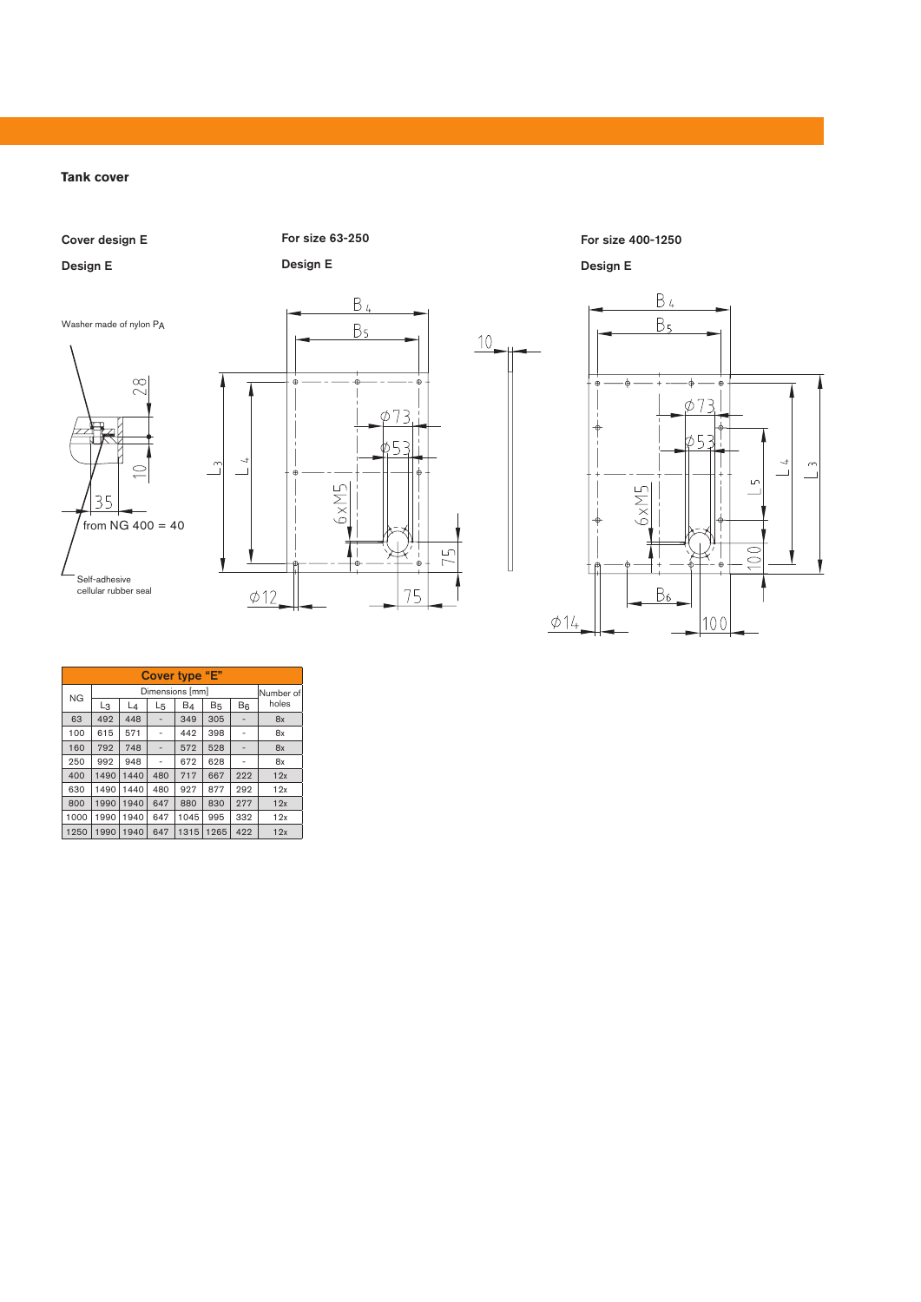**Tank cover**

Cover design E

Self-adhesive cellular rubber seal

35

 $\infty$ 

Design E

For size 63-250

Design E



For size 400-1250 Design E

 $10$ 



| Cover type "E" |      |           |     |                |           |       |       |  |  |  |
|----------------|------|-----------|-----|----------------|-----------|-------|-------|--|--|--|
| <b>NG</b>      |      | Number of |     |                |           |       |       |  |  |  |
|                | Lз   | $L_4$     | L5  | B <sub>4</sub> | <b>B5</b> | $B_6$ | holes |  |  |  |
| 63             | 492  | 448       |     | 349            | 305       |       | 8x    |  |  |  |
| 100            | 615  | 571       |     | 442            | 398       |       | 8x    |  |  |  |
| 160            | 792  | 748       |     | 572            | 528       |       | 8x    |  |  |  |
| 250            | 992  | 948       |     | 672            | 628       |       | 8x    |  |  |  |
| 400            | 1490 | 1440      | 480 | 717            | 667       | 222   | 12x   |  |  |  |
| 630            | 1490 | 1440      | 480 | 927            | 877       | 292   | 12x   |  |  |  |
| 800            | 1990 | 1940      | 647 | 880            | 830       | 277   | 12x   |  |  |  |
| 1000           | 1990 | 1940      | 647 | 1045           | 995       | 332   | 12x   |  |  |  |
| 1250           | 990  | 1940      | 647 | 1315           | 265       | 422   | 12x   |  |  |  |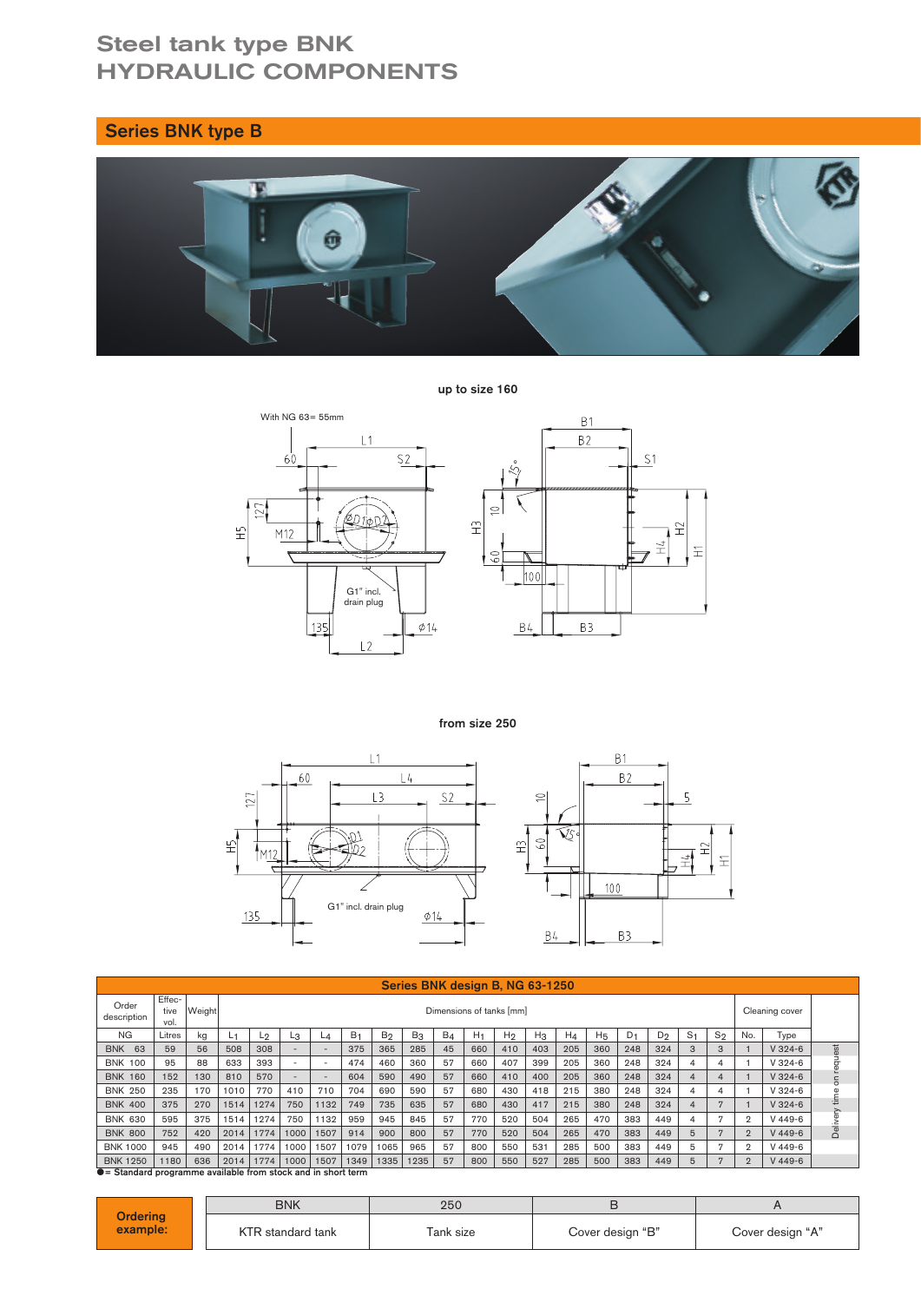# Steel tank type BNK HYDRAULIC COMPONENTS

## Series BNK type B



up to size 160



from size 250



| Series BNK design B, NG 63-1250 |                                                             |               |      |                          |      |                          |                |                |       |       |                |                |       |                |                |                |                |                |                |                |           |            |
|---------------------------------|-------------------------------------------------------------|---------------|------|--------------------------|------|--------------------------|----------------|----------------|-------|-------|----------------|----------------|-------|----------------|----------------|----------------|----------------|----------------|----------------|----------------|-----------|------------|
| Order<br>description            | Effec-<br>tive<br>vol.                                      | <b>Weight</b> |      | Dimensions of tanks [mm] |      |                          |                |                |       |       |                |                |       | Cleaning cover |                |                |                |                |                |                |           |            |
| <b>NG</b>                       | Litres                                                      | kg            | ا ف  | Lŋ                       | Lз   | L⊿                       | B <sub>1</sub> | B <sub>2</sub> | $B_3$ | $B_4$ | H <sub>1</sub> | H <sub>2</sub> | $H_3$ | $H_4$          | H <sub>5</sub> | D <sub>1</sub> | D <sub>2</sub> | S <sub>1</sub> | $S_2$          | No.            | Type      |            |
| 63<br><b>BNK</b>                | 59                                                          | 56            | 508  | 308                      |      | $\overline{\phantom{a}}$ | 375            | 365            | 285   | 45    | 660            | 410            | 403   | 205            | 360            | 248            | 324            | 3              | 3              |                | $V$ 324-6 |            |
| <b>BNK 100</b>                  | 95                                                          | 88            | 633  | 393                      |      | $\overline{\phantom{a}}$ | 474            | 460            | 360   | 57    | 660            | 407            | 399   | 205            | 360            | 248            | 324            | 4              | 4              |                | $V324-6$  |            |
| <b>BNK 160</b>                  | 152                                                         | 130           | 810  | 570                      |      | $\sim$                   | 604            | 590            | 490   | 57    | 660            | 410            | 400   | 205            | 360            | 248            | 324            | 4              | 4              |                | $V$ 324-6 | on request |
| <b>BNK 250</b>                  | 235                                                         | 170           | 1010 | 770                      | 410  | 710                      | 704            | 690            | 590   | 57    | 680            | 430            | 418   | 215            | 380            | 248            | 324            | 4              | 4              |                | $V324-6$  | time       |
| <b>BNK 400</b>                  | 375                                                         | 270           | 1514 | 1274                     | 750  | 1132                     | 749            | 735            | 635   | 57    | 680            | 430            | 417   | 215            | 380            | 248            | 324            | 4              | 7              |                | $V$ 324-6 |            |
| <b>BNK 630</b>                  | 595                                                         | 375           | 1514 | 1274                     | 750  | 1132                     | 959            | 945            | 845   | 57    | 770            | 520            | 504   | 265            | 470            | 383            | 449            | 4              | 7              | $\mathfrak{D}$ | $V$ 449-6 | Delivery   |
| <b>BNK 800</b>                  | 752                                                         | 420           | 2014 | 1774                     | 1000 | 1507                     | 914            | 900            | 800   | 57    | 770            | 520            | 504   | 265            | 470            | 383            | 449            | 5              | 7              | $\overline{2}$ | $V$ 449-6 |            |
| <b>BNK 1000</b>                 | 945                                                         | 490           | 2014 | 1774                     | 1000 | 1507                     | 1079           | 1065           | 965   | 57    | 800            | 550            | 531   | 285            | 500            | 383            | 449            | 5              | $\overline{2}$ |                | $V$ 449-6 |            |
| <b>BNK 1250</b>                 | 1180                                                        | 636           | 2014 | 1774                     | 1000 | 1507                     | 1349           | 1335           | 1235  | 57    | 800            | 550            | 527   | 285            | 500            | 383            | 449            | 5              | 7              | $\overline{2}$ | $V$ 449-6 |            |
|                                 | • Standard programme available from stock and in short term |               |      |                          |      |                          |                |                |       |       |                |                |       |                |                |                |                |                |                |                |           |            |

**Ordering** example: BNK | 250 | B | A KTR standard tank Tank size Cover design "B" Cover design "A"